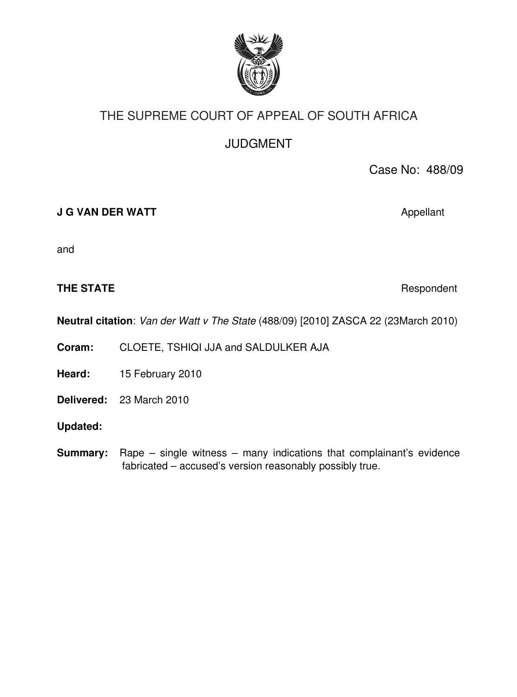

# THE SUPREME COURT OF APPEAL OF SOUTH AFRICA

JUDGMENT

Case No: 488/09

**J G VAN DER WATT** Appellant

and

#### **THE STATE Respondent**

**Neutral citation**: *Van der Watt v The State* (488/09) [2010] ZASCA 22 (23March 2010)

**Coram:** CLOETE, TSHIQI JJA and SALDULKER AJA

**Heard:** 15 February 2010

**Delivered:** 23 March 2010

**Updated:**

**Summary:** Rape – single witness – many indications that complainant's evidence fabricated – accused's version reasonably possibly true.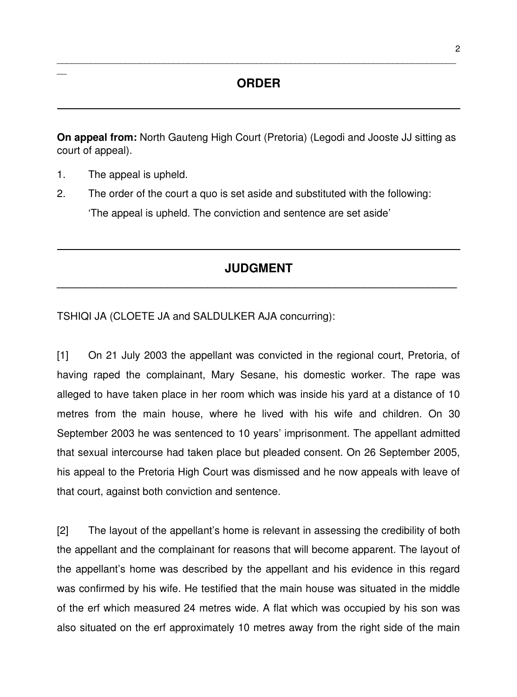## **ORDER**

\_\_\_\_\_\_\_\_\_\_\_\_\_\_\_\_\_\_\_\_\_\_\_\_\_\_\_\_\_\_\_\_\_\_\_\_\_\_\_\_\_\_\_\_\_\_\_\_\_\_\_\_\_\_\_\_\_\_\_\_\_\_\_\_\_\_\_\_\_\_\_\_\_\_\_\_\_\_\_\_\_\_

**On appeal from:** North Gauteng High Court (Pretoria) (Legodi and Jooste JJ sitting as court of appeal).

1. The appeal is upheld.

 $\overline{\phantom{a}}$ 

2. The order of the court a quo is set aside and substituted with the following: 'The appeal is upheld. The conviction and sentence are set aside'

## **JUDGMENT \_\_\_\_\_\_\_\_\_\_\_\_\_\_\_\_\_\_\_\_\_\_\_\_\_\_\_\_\_\_\_\_\_\_\_\_\_\_\_\_\_\_\_\_\_\_\_\_\_\_\_\_\_\_\_\_\_\_\_\_\_\_\_\_\_\_\_\_\_**

TSHIQI JA (CLOETE JA and SALDULKER AJA concurring):

[1] On 21 July 2003 the appellant was convicted in the regional court, Pretoria, of having raped the complainant, Mary Sesane, his domestic worker. The rape was alleged to have taken place in her room which was inside his yard at a distance of 10 metres from the main house, where he lived with his wife and children. On 30 September 2003 he was sentenced to 10 years' imprisonment. The appellant admitted that sexual intercourse had taken place but pleaded consent. On 26 September 2005, his appeal to the Pretoria High Court was dismissed and he now appeals with leave of that court, against both conviction and sentence.

[2] The layout of the appellant's home is relevant in assessing the credibility of both the appellant and the complainant for reasons that will become apparent. The layout of the appellant's home was described by the appellant and his evidence in this regard was confirmed by his wife. He testified that the main house was situated in the middle of the erf which measured 24 metres wide. A flat which was occupied by his son was also situated on the erf approximately 10 metres away from the right side of the main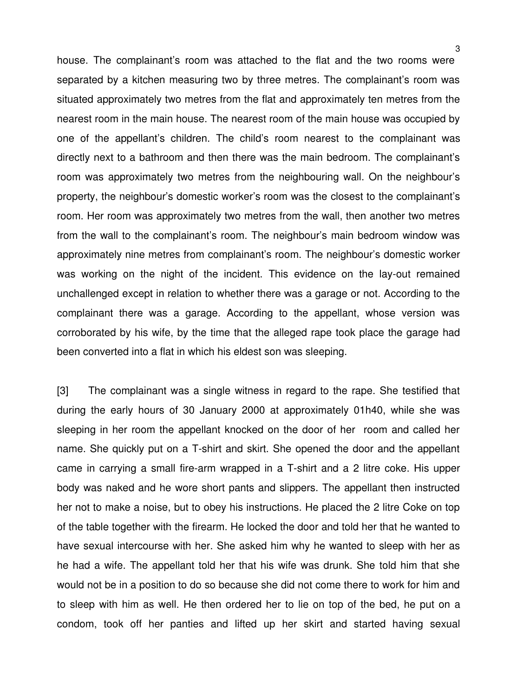house. The complainant's room was attached to the flat and the two rooms were separated by a kitchen measuring two by three metres. The complainant's room was situated approximately two metres from the flat and approximately ten metres from the nearest room in the main house. The nearest room of the main house was occupied by one of the appellant's children. The child's room nearest to the complainant was directly next to a bathroom and then there was the main bedroom. The complainant's room was approximately two metres from the neighbouring wall. On the neighbour's property, the neighbour's domestic worker's room was the closest to the complainant's room. Her room was approximately two metres from the wall, then another two metres from the wall to the complainant's room. The neighbour's main bedroom window was approximately nine metres from complainant's room. The neighbour's domestic worker was working on the night of the incident. This evidence on the lay-out remained unchallenged except in relation to whether there was a garage or not. According to the complainant there was a qarage. According to the appellant, whose version was corroborated by his wife, by the time that the alleged rape took place the garage had been converted into a flat in which his eldest son was sleeping.

[3] The complainant was a single witness in regard to the rape. She testified that during the early hours of 30 January 2000 at approximately 01h40, while she was sleeping in her room the appellant knocked on the door of her room and called her name. She quickly put on a T-shirt and skirt. She opened the door and the appellant came in carrying a small fire-arm wrapped in a T-shirt and a 2 litre coke. His upper body was naked and he wore short pants and slippers. The appellant then instructed her not to make a noise, but to obey his instructions. He placed the 2 litre Coke on top of the table together with the firearm. He locked the door and told her that he wanted to have sexual intercourse with her. She asked him why he wanted to sleep with her as he had a wife. The appellant told her that his wife was drunk. She told him that she would not be in a position to do so because she did not come there to work for him and to sleep with him as well. He then ordered her to lie on top of the bed, he put on a condom, took off her panties and lifted up her skirt and started having sexual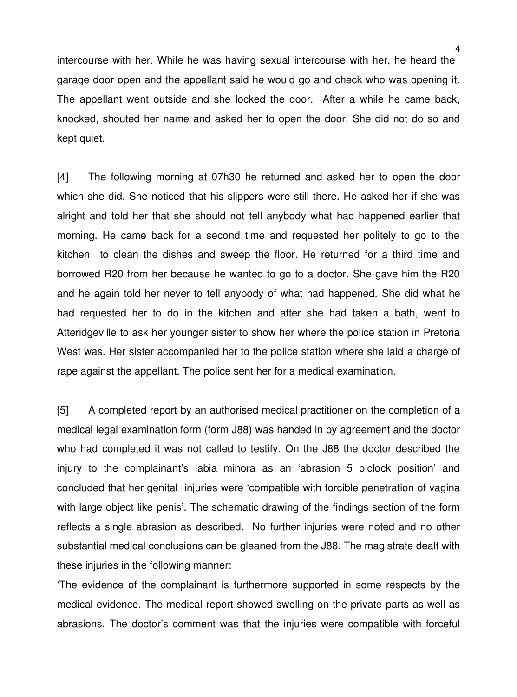intercourse with her. While he was having sexual intercourse with her, he heard the garage door open and the appellant said he would go and check who was opening it. The appellant went outside and she locked the door. After a while he came back, knocked, shouted her name and asked her to open the door. She did not do so and kept quiet.

[4] The following morning at 07h30 he returned and asked her to open the door which she did. She noticed that his slippers were still there. He asked her if she was alright and told her that she should not tell anybody what had happened earlier that morning. He came back for a second time and requested her politely to go to the kitchen to clean the dishes and sweep the floor. He returned for a third time and borrowed R20 from her because he wanted to go to a doctor. She gave him the R20 and he again told her never to tell anybody of what had happened. She did what he had requested her to do in the kitchen and after she had taken a bath, went to Atteridgeville to ask her younger sister to show her where the police station in Pretoria West was. Her sister accompanied her to the police station where she laid a charge of rape against the appellant. The police sent her for a medical examination.

[5] A completed report by an authorised medical practitioner on the completion of a medical legal examination form (form J88) was handed in by agreement and the doctor who had completed it was not called to testify. On the J88 the doctor described the injury to the complainant's labia minora as an 'abrasion 5 o'clock position' and concluded that her genital injuries were 'compatible with forcible penetration of vagina with large object like penis'. The schematic drawing of the findings section of the form reflects a single abrasion as described. No further injuries were noted and no other substantial medical conclusions can be gleaned from the J88. The magistrate dealt with these injuries in the following manner:

'The evidence of the complainant is furthermore supported in some respects by the medical evidence. The medical report showed swelling on the private parts as well as abrasions. The doctor's comment was that the injuries were compatible with forceful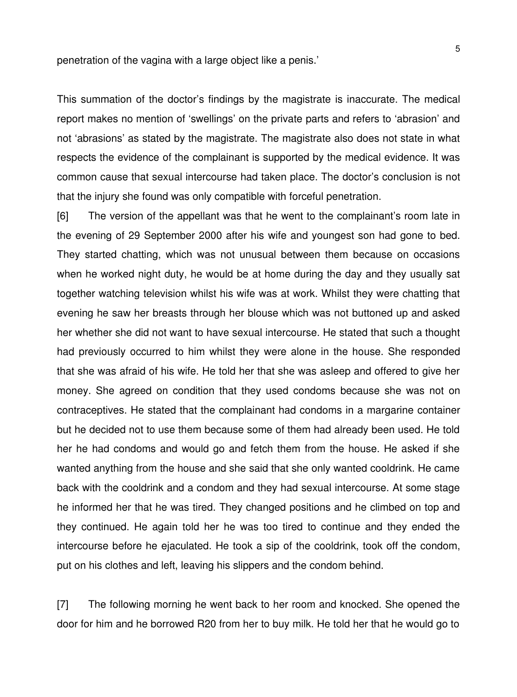penetration of the vagina with a large object like a penis.'

This summation of the doctor's findings by the magistrate is inaccurate. The medical report makes no mention of 'swellings' on the private parts and refers to 'abrasion' and not 'abrasions' as stated by the magistrate. The magistrate also does not state in what respects the evidence of the complainant is supported by the medical evidence. It was common cause that sexual intercourse had taken place. The doctor's conclusion is not that the injury she found was only compatible with forceful penetration.

[6] The version of the appellant was that he went to the complainant's room late in the evening of 29 September 2000 after his wife and youngest son had gone to bed. They started chatting, which was not unusual between them because on occasions when he worked night duty, he would be at home during the day and they usually sat together watching television whilst his wife was at work. Whilst they were chatting that evening he saw her breasts through her blouse which was not buttoned up and asked her whether she did not want to have sexual intercourse. He stated that such a thought had previously occurred to him whilst they were alone in the house. She responded that she was afraid of his wife. He told her that she was asleep and offered to give her money. She agreed on condition that they used condoms because she was not on contraceptives. He stated that the complainant had condoms in a margarine container but he decided not to use them because some of them had already been used. He told her he had condoms and would go and fetch them from the house. He asked if she wanted anything from the house and she said that she only wanted cooldrink. He came back with the cooldrink and a condom and they had sexual intercourse. At some stage he informed her that he was tired. They changed positions and he climbed on top and they continued. He again told her he was too tired to continue and they ended the intercourse before he ejaculated. He took a sip of the cooldrink, took off the condom, put on his clothes and left, leaving his slippers and the condom behind.

[7] The following morning he went back to her room and knocked. She opened the door for him and he borrowed R20 from her to buy milk. He told her that he would go to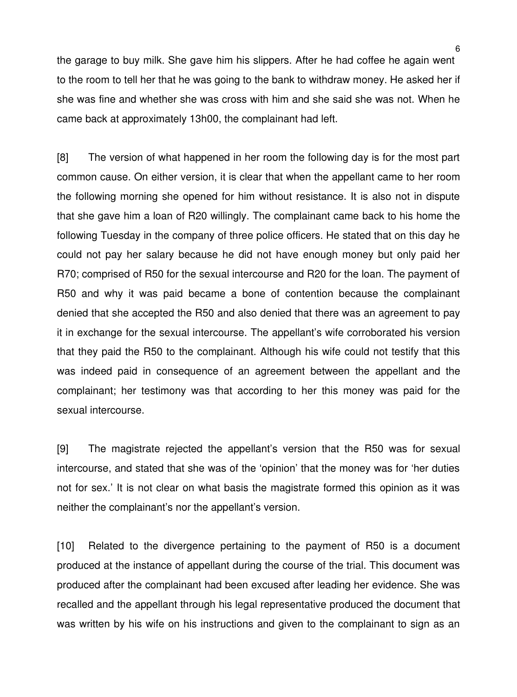the garage to buy milk. She gave him his slippers. After he had coffee he again went to the room to tell her that he was going to the bank to withdraw money. He asked her if she was fine and whether she was cross with him and she said she was not. When he came back at approximately 13h00, the complainant had left.

[8] The version of what happened in her room the following day is for the most part common cause. On either version, it is clear that when the appellant came to her room the following morning she opened for him without resistance. It is also not in dispute that she gave him a loan of R20 willingly. The complainant came back to his home the following Tuesday in the company of three police officers. He stated that on this day he could not pay her salary because he did not have enough money but only paid her R70; comprised of R50 for the sexual intercourse and R20 for the loan. The payment of R50 and why it was paid became a bone of contention because the complainant denied that she accepted the R50 and also denied that there was an agreement to pay it in exchange for the sexual intercourse. The appellant's wife corroborated his version that they paid the R50 to the complainant. Although his wife could not testify that this was indeed paid in consequence of an agreement between the appellant and the complainant; her testimony was that according to her this money was paid for the sexual intercourse.

[9] The magistrate rejected the appellant's version that the R50 was for sexual intercourse, and stated that she was of the 'opinion' that the money was for 'her duties not for sex.' It is not clear on what basis the magistrate formed this opinion as it was neither the complainant's nor the appellant's version.

[10] Related to the divergence pertaining to the payment of R50 is a document produced at the instance of appellant during the course of the trial. This document was produced after the complainant had been excused after leading her evidence. She was recalled and the appellant through his legal representative produced the document that was written by his wife on his instructions and given to the complainant to sign as an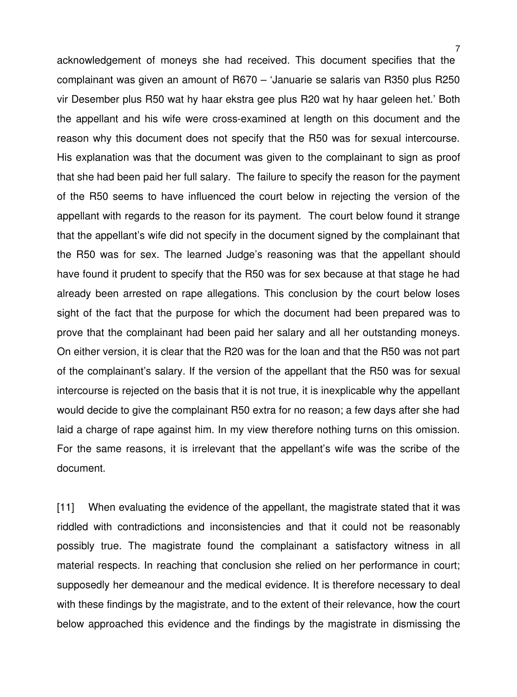acknowledgement of moneys she had received. This document specifies that the complainant was given an amount of R670 – 'Januarie se salaris van R350 plus R250 vir Desember plus R50 wat hy haar ekstra gee plus R20 wat hy haar geleen het.' Both the appellant and his wife were cross-examined at length on this document and the reason why this document does not specify that the R50 was for sexual intercourse. His explanation was that the document was given to the complainant to sign as proof that she had been paid her full salary. The failure to specify the reason for the payment of the R50 seems to have influenced the court below in rejecting the version of the appellant with regards to the reason for its payment. The court below found it strange that the appellant's wife did not specify in the document signed by the complainant that the R50 was for sex. The learned Judge's reasoning was that the appellant should have found it prudent to specify that the R50 was for sex because at that stage he had already been arrested on rape allegations. This conclusion by the court below loses sight of the fact that the purpose for which the document had been prepared was to prove that the complainant had been paid her salary and all her outstanding moneys. On either version, it is clear that the R20 was for the loan and that the R50 was not part of the complainant's salary. If the version of the appellant that the R50 was for sexual intercourse is rejected on the basis that it is not true, it is inexplicable why the appellant would decide to give the complainant R50 extra for no reason; a few days after she had laid a charge of rape against him. In my view therefore nothing turns on this omission. For the same reasons, it is irrelevant that the appellant's wife was the scribe of the document.

[11] When evaluating the evidence of the appellant, the magistrate stated that it was riddled with contradictions and inconsistencies and that it could not be reasonably possibly true. The magistrate found the complainant a satisfactory witness in all material respects. In reaching that conclusion she relied on her performance in court; supposedly her demeanour and the medical evidence. It is therefore necessary to deal with these findings by the magistrate, and to the extent of their relevance, how the court below approached this evidence and the findings by the magistrate in dismissing the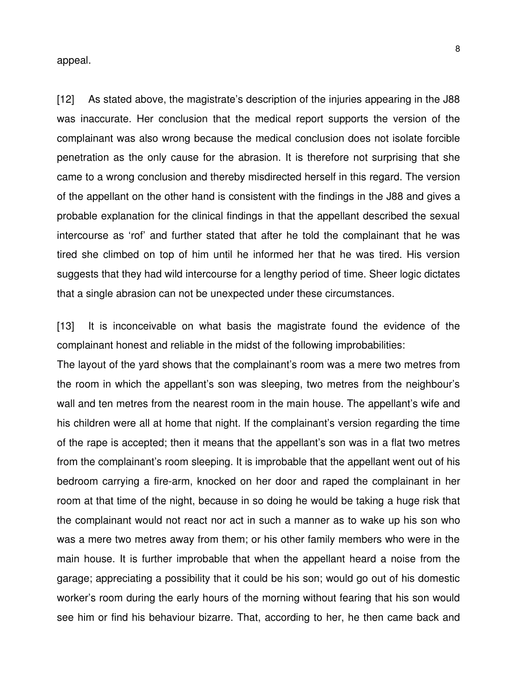appeal.

[12] As stated above, the magistrate's description of the injuries appearing in the J88 was inaccurate. Her conclusion that the medical report supports the version of the complainant was also wrong because the medical conclusion does not isolate forcible penetration as the only cause for the abrasion. It is therefore not surprising that she came to a wrong conclusion and thereby misdirected herself in this regard. The version of the appellant on the other hand is consistent with the findings in the J88 and gives a probable explanation for the clinical findings in that the appellant described the sexual intercourse as 'rof' and further stated that after he told the complainant that he was tired she climbed on top of him until he informed her that he was tired. His version suggests that they had wild intercourse for a lengthy period of time. Sheer logic dictates that a single abrasion can not be unexpected under these circumstances.

[13] It is inconceivable on what basis the magistrate found the evidence of the complainant honest and reliable in the midst of the following improbabilities:

The layout of the yard shows that the complainant's room was a mere two metres from the room in which the appellant's son was sleeping, two metres from the neighbour's wall and ten metres from the nearest room in the main house. The appellant's wife and his children were all at home that night. If the complainant's version regarding the time of the rape is accepted; then it means that the appellant's son was in a flat two metres from the complainant's room sleeping. It is improbable that the appellant went out of his bedroom carrying a fire-arm, knocked on her door and raped the complainant in her room at that time of the night, because in so doing he would be taking a huge risk that the complainant would not react nor act in such a manner as to wake up his son who was a mere two metres away from them; or his other family members who were in the main house. It is further improbable that when the appellant heard a noise from the garage; appreciating a possibility that it could be his son; would go out of his domestic worker's room during the early hours of the morning without fearing that his son would see him or find his behaviour bizarre. That, according to her, he then came back and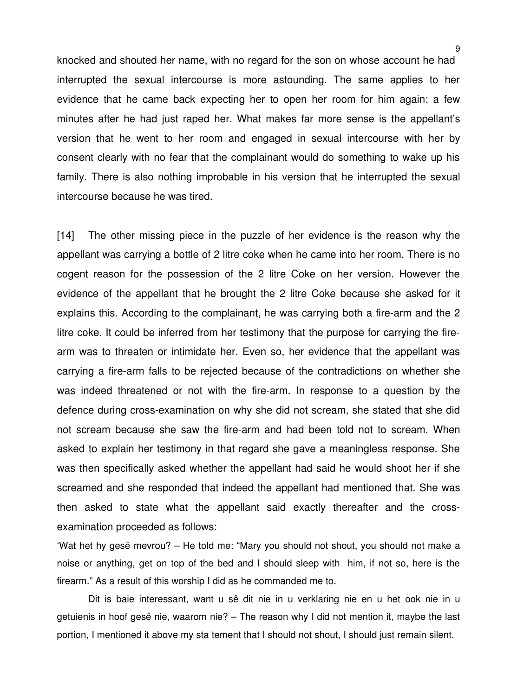knocked and shouted her name, with no regard for the son on whose account he had interrupted the sexual intercourse is more astounding. The same applies to her evidence that he came back expecting her to open her room for him again; a few minutes after he had just raped her. What makes far more sense is the appellant's version that he went to her room and engaged in sexual intercourse with her by consent clearly with no fear that the complainant would do something to wake up his family. There is also nothing improbable in his version that he interrupted the sexual intercourse because he was tired.

[14] The other missing piece in the puzzle of her evidence is the reason why the appellant was carrying a bottle of 2 litre coke when he came into her room. There is no cogent reason for the possession of the 2 litre Coke on her version. However the evidence of the appellant that he brought the 2 litre Coke because she asked for it explains this. According to the complainant, he was carrying both a fire-arm and the 2 litre coke. It could be inferred from her testimony that the purpose for carrying the firearm was to threaten or intimidate her. Even so, her evidence that the appellant was carrying a fire-arm falls to be rejected because of the contradictions on whether she was indeed threatened or not with the fire-arm. In response to a question by the defence during cross-examination on why she did not scream, she stated that she did not scream because she saw the fire-arm and had been told not to scream. When asked to explain her testimony in that regard she gave a meaningless response. She was then specifically asked whether the appellant had said he would shoot her if she screamed and she responded that indeed the appellant had mentioned that. She was then asked to state what the appellant said exactly thereafter and the crossexamination proceeded as follows:

'Wat het hy gesê mevrou? – He told me: "Mary you should not shout, you should not make a noise or anything, get on top of the bed and I should sleep with him, if not so, here is the firearm." As a result of this worship I did as he commanded me to.

Dit is baie interessant, want u sê dit nie in u verklaring nie en u het ook nie in u getuienis in hoof gesê nie, waarom nie? – The reason why I did not mention it, maybe the last portion, I mentioned it above my sta tement that I should not shout, I should just remain silent.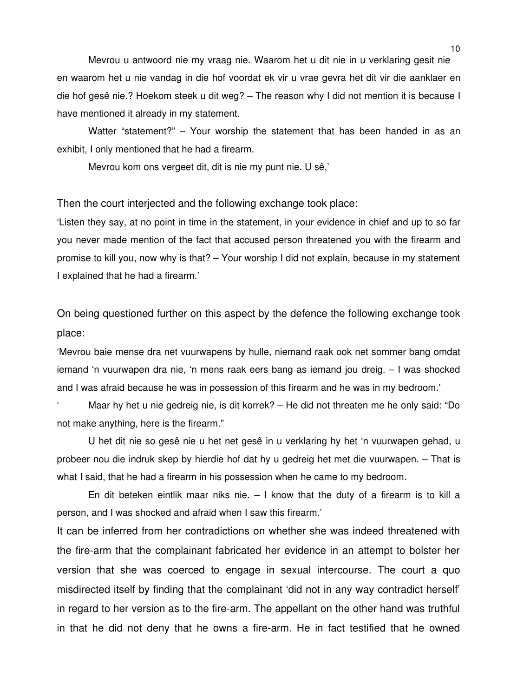Mevrou u antwoord nie my vraag nie. Waarom het u dit nie in u verklaring gesit nie en waarom het u nie vandag in die hof voordat ek vir u vrae gevra het dit vir die aanklaer en die hof gesê nie.? Hoekom steek u dit weg? – The reason why I did not mention it is because I have mentioned it already in my statement.

Watter "statement?" – Your worship the statement that has been handed in as an exhibit, I only mentioned that he had a firearm.

Mevrou kom ons vergeet dit, dit is nie my punt nie. U sê,'

Then the court interjected and the following exchange took place:

'Listen they say, at no point in time in the statement, in your evidence in chief and up to so far you never made mention of the fact that accused person threatened you with the firearm and promise to kill you, now why is that? – Your worship I did not explain, because in my statement I explained that he had a firearm.'

On being questioned further on this aspect by the defence the following exchange took place:

'Mevrou baie mense dra net vuurwapens by hulle, niemand raak ook net sommer bang omdat iemand 'n vuurwapen dra nie, 'n mens raak eers bang as iemand jou dreig. – I was shocked and I was afraid because he was in possession of this firearm and he was in my bedroom.'

' Maar hy het u nie gedreig nie, is dit korrek? – He did not threaten me he only said: "Do not make anything, here is the firearm."

U het dit nie so gesê nie u het net gesê in u verklaring hy het 'n vuurwapen gehad, u probeer nou die indruk skep by hierdie hof dat hy u gedreig het met die vuurwapen. – That is what I said, that he had a firearm in his possession when he came to my bedroom.

En dit beteken eintlik maar niks nie.  $-1$  know that the duty of a firearm is to kill a person, and I was shocked and afraid when I saw this firearm.'

It can be inferred from her contradictions on whether she was indeed threatened with the fire-arm that the complainant fabricated her evidence in an attempt to bolster her version that she was coerced to engage in sexual intercourse. The court a quo misdirected itself by finding that the complainant 'did not in any way contradict herself' in regard to her version as to the fire-arm. The appellant on the other hand was truthful in that he did not deny that he owns a fire-arm. He in fact testified that he owned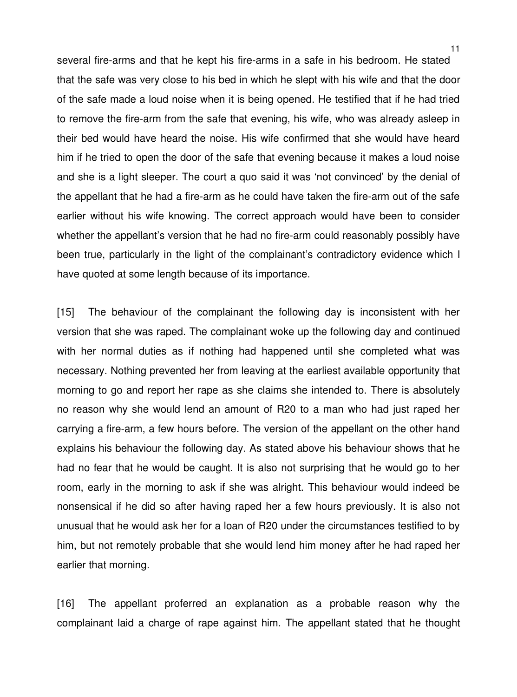several fire-arms and that he kept his fire-arms in a safe in his bedroom. He stated that the safe was very close to his bed in which he slept with his wife and that the door of the safe made a loud noise when it is being opened. He testified that if he had tried to remove the fire-arm from the safe that evening, his wife, who was already asleep in their bed would have heard the noise. His wife confirmed that she would have heard him if he tried to open the door of the safe that evening because it makes a loud noise and she is a light sleeper. The court a quo said it was 'not convinced' by the denial of the appellant that he had a fire-arm as he could have taken the fire-arm out of the safe earlier without his wife knowing. The correct approach would have been to consider whether the appellant's version that he had no fire-arm could reasonably possibly have been true, particularly in the light of the complainant's contradictory evidence which I have quoted at some length because of its importance.

[15] The behaviour of the complainant the following day is inconsistent with her version that she was raped. The complainant woke up the following day and continued with her normal duties as if nothing had happened until she completed what was necessary. Nothing prevented her from leaving at the earliest available opportunity that morning to go and report her rape as she claims she intended to. There is absolutely no reason why she would lend an amount of R20 to a man who had just raped her carrying a fire-arm, a few hours before. The version of the appellant on the other hand explains his behaviour the following day. As stated above his behaviour shows that he had no fear that he would be caught. It is also not surprising that he would go to her room, early in the morning to ask if she was alright. This behaviour would indeed be nonsensical if he did so after having raped her a few hours previously. It is also not unusual that he would ask her for a loan of R20 under the circumstances testified to by him, but not remotely probable that she would lend him money after he had raped her earlier that morning.

[16] The appellant proferred an explanation as a probable reason why the complainant laid a charge of rape against him. The appellant stated that he thought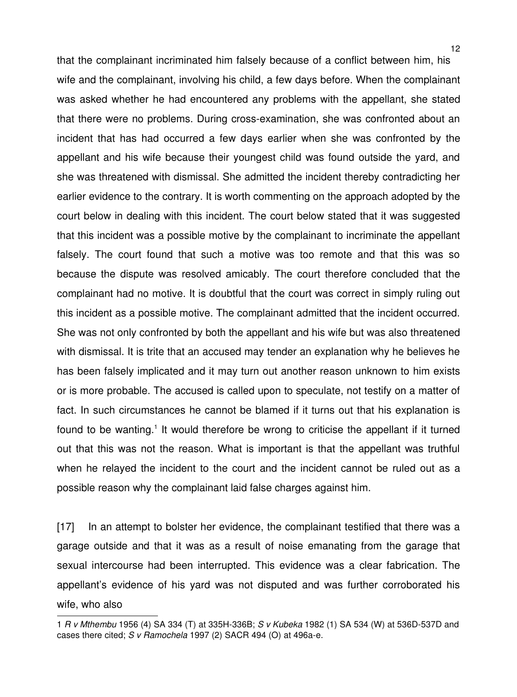that the complainant incriminated him falsely because of a conflict between him, his wife and the complainant, involving his child, a few days before. When the complainant was asked whether he had encountered any problems with the appellant, she stated that there were no problems. During cross-examination, she was confronted about an incident that has had occurred a few days earlier when she was confronted by the appellant and his wife because their youngest child was found outside the yard, and she was threatened with dismissal. She admitted the incident thereby contradicting her earlier evidence to the contrary. It is worth commenting on the approach adopted by the court below in dealing with this incident. The court below stated that it was suggested that this incident was a possible motive by the complainant to incriminate the appellant falsely. The court found that such a motive was too remote and that this was so because the dispute was resolved amicably. The court therefore concluded that the complainant had no motive. It is doubtful that the court was correct in simply ruling out this incident as a possible motive. The complainant admitted that the incident occurred. She was not only confronted by both the appellant and his wife but was also threatened with dismissal. It is trite that an accused may tender an explanation why he believes he has been falsely implicated and it may turn out another reason unknown to him exists or is more probable. The accused is called upon to speculate, not testify on a matter of fact. In such circumstances he cannot be blamed if it turns out that his explanation is found to be wanting.<sup>[1](#page-11-0)</sup> It would therefore be wrong to criticise the appellant if it turned out that this was not the reason. What is important is that the appellant was truthful when he relayed the incident to the court and the incident cannot be ruled out as a possible reason why the complainant laid false charges against him.

[17] In an attempt to bolster her evidence, the complainant testified that there was a garage outside and that it was as a result of noise emanating from the garage that sexual intercourse had been interrupted. This evidence was a clear fabrication. The appellant's evidence of his yard was not disputed and was further corroborated his wife, who also

<span id="page-11-0"></span><sup>1</sup> *R v Mthembu* 1956 (4) SA 334 (T) at 335H-336B; *S v Kubeka* 1982 (1) SA 534 (W) at 536D-537D and cases there cited; *S v Ramochela* 1997 (2) SACR 494 (O) at 496a-e.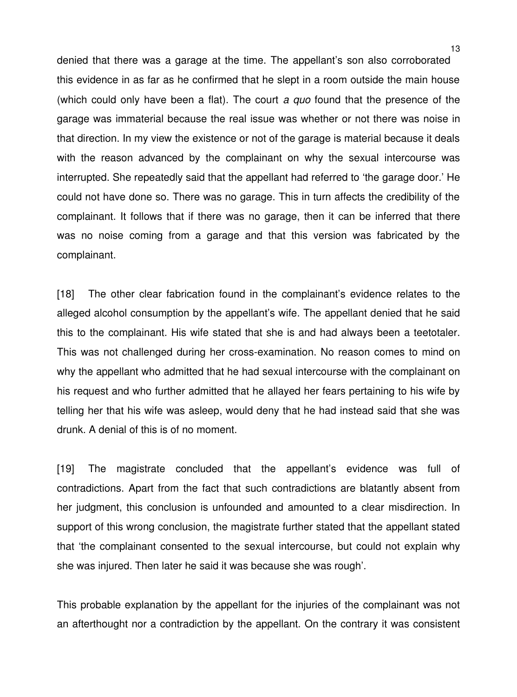denied that there was a garage at the time. The appellant's son also corroborated this evidence in as far as he confirmed that he slept in a room outside the main house (which could only have been a flat). The court *a quo* found that the presence of the garage was immaterial because the real issue was whether or not there was noise in that direction. In my view the existence or not of the garage is material because it deals with the reason advanced by the complainant on why the sexual intercourse was interrupted. She repeatedly said that the appellant had referred to 'the garage door.' He could not have done so. There was no garage. This in turn affects the credibility of the complainant. It follows that if there was no garage, then it can be inferred that there was no noise coming from a garage and that this version was fabricated by the complainant.

[18] The other clear fabrication found in the complainant's evidence relates to the alleged alcohol consumption by the appellant's wife. The appellant denied that he said this to the complainant. His wife stated that she is and had always been a teetotaler. This was not challenged during her cross-examination. No reason comes to mind on why the appellant who admitted that he had sexual intercourse with the complainant on his request and who further admitted that he allayed her fears pertaining to his wife by telling her that his wife was asleep, would deny that he had instead said that she was drunk. A denial of this is of no moment.

[19] The magistrate concluded that the appellant's evidence was full of contradictions. Apart from the fact that such contradictions are blatantly absent from her judgment, this conclusion is unfounded and amounted to a clear misdirection. In support of this wrong conclusion, the magistrate further stated that the appellant stated that 'the complainant consented to the sexual intercourse, but could not explain why she was injured. Then later he said it was because she was rough'.

This probable explanation by the appellant for the injuries of the complainant was not an afterthought nor a contradiction by the appellant. On the contrary it was consistent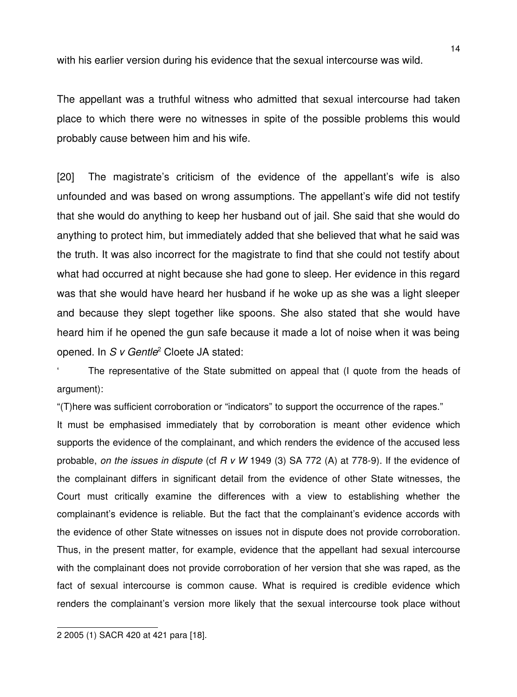with his earlier version during his evidence that the sexual intercourse was wild.

The appellant was a truthful witness who admitted that sexual intercourse had taken place to which there were no witnesses in spite of the possible problems this would probably cause between him and his wife.

[20] The magistrate's criticism of the evidence of the appellant's wife is also unfounded and was based on wrong assumptions. The appellant's wife did not testify that she would do anything to keep her husband out of jail. She said that she would do anything to protect him, but immediately added that she believed that what he said was the truth. It was also incorrect for the magistrate to find that she could not testify about what had occurred at night because she had gone to sleep. Her evidence in this regard was that she would have heard her husband if he woke up as she was a light sleeper and because they slept together like spoons. She also stated that she would have heard him if he opened the gun safe because it made a lot of noise when it was being opened. In *S v Gentle*[2](#page-13-0) Cloete JA stated:

The representative of the State submitted on appeal that (I quote from the heads of argument):

"(T)here was sufficient corroboration or "indicators" to support the occurrence of the rapes."

It must be emphasised immediately that by corroboration is meant other evidence which supports the evidence of the complainant, and which renders the evidence of the accused less probable, *on the issues in dispute* (cf *R v W* 1949 (3) SA 772 (A) at 778-9). If the evidence of the complainant differs in significant detail from the evidence of other State witnesses, the Court must critically examine the differences with a view to establishing whether the complainant's evidence is reliable. But the fact that the complainant's evidence accords with the evidence of other State witnesses on issues not in dispute does not provide corroboration. Thus, in the present matter, for example, evidence that the appellant had sexual intercourse with the complainant does not provide corroboration of her version that she was raped, as the fact of sexual intercourse is common cause. What is required is credible evidence which renders the complainant's version more likely that the sexual intercourse took place without

<span id="page-13-0"></span><sup>2 2005 (1)</sup> SACR 420 at 421 para [18].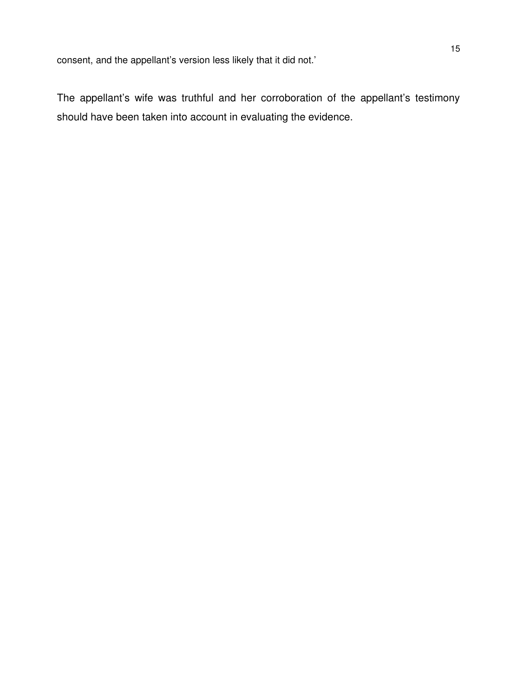The appellant's wife was truthful and her corroboration of the appellant's testimony should have been taken into account in evaluating the evidence.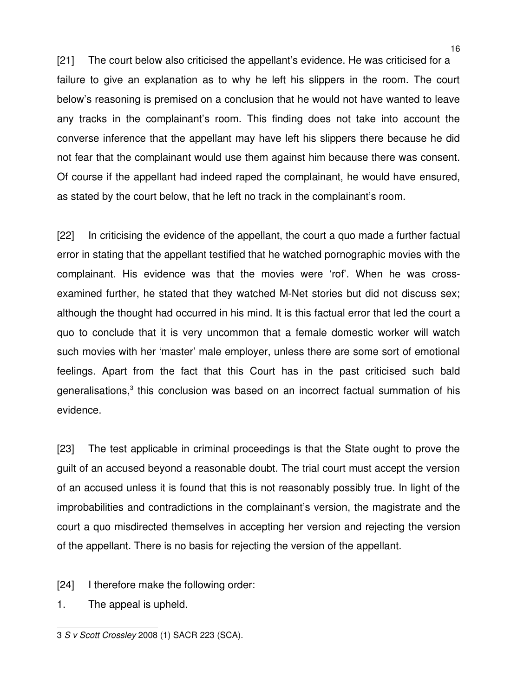[21] The court below also criticised the appellant's evidence. He was criticised for a failure to give an explanation as to why he left his slippers in the room. The court below's reasoning is premised on a conclusion that he would not have wanted to leave any tracks in the complainant's room. This finding does not take into account the converse inference that the appellant may have left his slippers there because he did not fear that the complainant would use them against him because there was consent. Of course if the appellant had indeed raped the complainant, he would have ensured, as stated by the court below, that he left no track in the complainant's room.

[22] In criticising the evidence of the appellant, the court a quo made a further factual error in stating that the appellant testified that he watched pornographic movies with the complainant. His evidence was that the movies were 'rof'. When he was crossexamined further, he stated that they watched M-Net stories but did not discuss sex; although the thought had occurred in his mind. It is this factual error that led the court a quo to conclude that it is very uncommon that a female domestic worker will watch such movies with her 'master' male employer, unless there are some sort of emotional feelings. Apart from the fact that this Court has in the past criticised such bald generalisations,<sup>[3](#page-15-0)</sup> this conclusion was based on an incorrect factual summation of his evidence.

[23] The test applicable in criminal proceedings is that the State ought to prove the guilt of an accused beyond a reasonable doubt. The trial court must accept the version of an accused unless it is found that this is not reasonably possibly true. In light of the improbabilities and contradictions in the complainant's version, the magistrate and the court a quo misdirected themselves in accepting her version and rejecting the version of the appellant. There is no basis for rejecting the version of the appellant.

[24] I therefore make the following order:

1. The appeal is upheld.

<span id="page-15-0"></span><sup>3</sup> *S v Scott Crossley* 2008 (1) SACR 223 (SCA).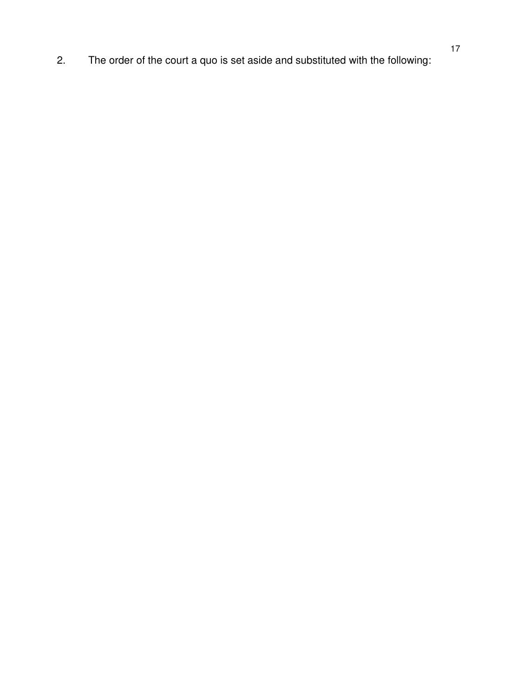2. The order of the court a quo is set aside and substituted with the following: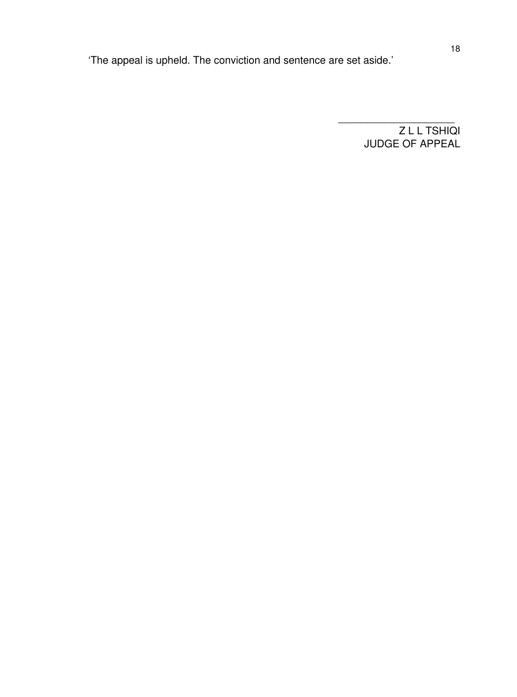'The appeal is upheld. The conviction and sentence are set aside.'

Z L L TSHIQI JUDGE OF APPEAL

\_\_\_\_\_\_\_\_\_\_\_\_\_\_\_\_\_\_\_\_